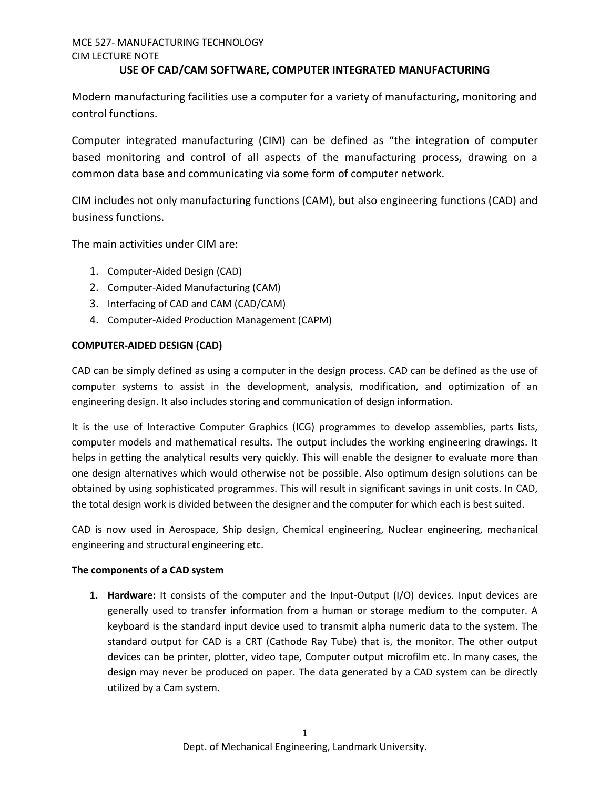# MCE 527- MANUFACTURING TECHNOLOGY CIM LECTURE NOTE

### **USE OF CAD/CAM SOFTWARE, COMPUTER INTEGRATED MANUFACTURING**

Modern manufacturing facilities use a computer for a variety of manufacturing, monitoring and control functions.

Computer integrated manufacturing (CIM) can be defined as "the integration of computer based monitoring and control of all aspects of the manufacturing process, drawing on a common data base and communicating via some form of computer network.

CIM includes not only manufacturing functions (CAM), but also engineering functions (CAD) and business functions.

The main activities under CIM are:

- 1. Computer-Aided Design (CAD)
- 2. Computer-Aided Manufacturing (CAM)
- 3. Interfacing of CAD and CAM (CAD/CAM)
- 4. Computer-Aided Production Management (CAPM)

### **COMPUTER-AIDED DESIGN (CAD)**

CAD can be simply defined as using a computer in the design process. CAD can be defined as the use of computer systems to assist in the development, analysis, modification, and optimization of an engineering design. It also includes storing and communication of design information.

It is the use of Interactive Computer Graphics (ICG) programmes to develop assemblies, parts lists, computer models and mathematical results. The output includes the working engineering drawings. It helps in getting the analytical results very quickly. This will enable the designer to evaluate more than one design alternatives which would otherwise not be possible. Also optimum design solutions can be obtained by using sophisticated programmes. This will result in significant savings in unit costs. In CAD, the total design work is divided between the designer and the computer for which each is best suited.

CAD is now used in Aerospace, Ship design, Chemical engineering, Nuclear engineering, mechanical engineering and structural engineering etc.

### **The components of a CAD system**

**1. Hardware:** It consists of the computer and the Input-Output (I/O) devices. Input devices are generally used to transfer information from a human or storage medium to the computer. A keyboard is the standard input device used to transmit alpha numeric data to the system. The standard output for CAD is a CRT (Cathode Ray Tube) that is, the monitor. The other output devices can be printer, plotter, video tape, Computer output microfilm etc. In many cases, the design may never be produced on paper. The data generated by a CAD system can be directly utilized by a Cam system.